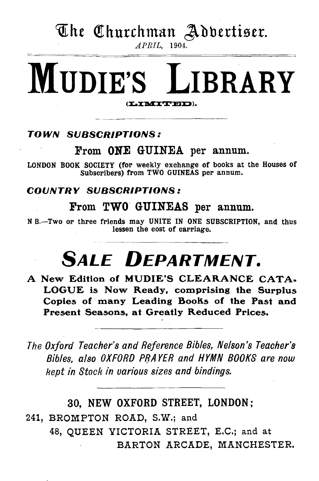# The Churchman Adbertiser.

*APRIL,* 1904.

# MUDIE'S LIBRARY (LIMITED).

## TOWN SUBSCRIPTIONS:

## From ONE GUINEA per annum.

LONDON BOOK SOCIETY (for weekly exchange of books at the Houses of Subscribers) from TWO GUINEAS per annum.

### COUNTRY SUBSCRIPTIONS:

## From TWO GUINEAS per annum.

N B.-Two or three friends may UNITE IN ONE SUBSCRIPTION, and thus lessen the cost of carriage.

# **SALE DEPARTMENT.**

A New Edition of MUDIE'S CLEARANCE CATA= LOGUE is Now Ready, comprising the Surplus Copies of many Leading Books of the Past and Present Seasons, at Greatly Reduced Prices.

*The Oxford Teacher's and Reference Bibles, Nelson's Teacher's Bibles, also OXFORD PIJA YER and HYMN BOOKS are now kept in Stock in various sizes and bindings.* 

# 30, NEW OXFORD STREET, LONDON;

241, BROMPTON ROAD, S.W.; and 48, QUEEN VICTORIA STREET, E.C.; and at BARTON ARCADE, MANCHESTER.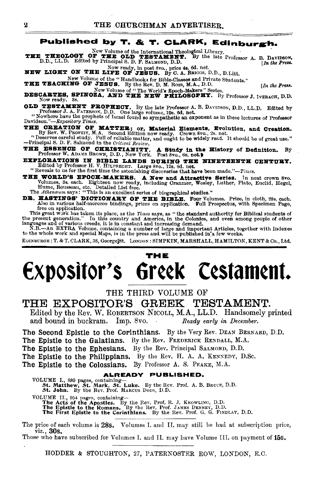### Published by T. & T. CLARK, Edinburgh.

New Volume of the International Theological Library.<br> **THE THEOLOGY OF THE OLD TESTAMENT.** By the late Professor A. B. DAVIDSON, D.D., LL.D. Edited by Principal S. D. F. SALMOND, D.D.

Now ready, in post 8vo., price 4s. 6d. net.<br>NEW LIGHT ON THE LIFE OF JESUS. By C. A. BRIGGS, D.D., D.Litt.

New Volume of the "Handbooks for Bible-Classes and Private Students."

THE TEACHING OF JESUS. By the Rev. D. M. Ross, M.A., D.D. [In the Press.

DESCARTES, SPINOZA, AND THE NEW PRILOSOPHY. By Professor J. IVERACH, D.D. Now ready. 8s.

**OLD TESTAMENT PROPHECY.** By the late Professor A. B. DAVIDSON, D.D., LL.D. Edited by Professor J. A. PATERSON, D.D. One large volume, 10s. 6d. net. "Nowhere have the prophets of Israel found so sympathetic an oxponent as

Davidson."-Expository Times.

THE CREATION OF MATTER; or, Material Elements, Evolution, and Creation.<br>By Rev. W. PROFEIT, M.A. Second Edition now ready. Crown 8vo., 2s. net.<br>"Deserves careful study. Full of reliable matter, and ought to be widely read.

-Principal S. D. F. Salmond in the Critical Review.

THE ESSENCE OF CHRISTIANITY. A Study in the History of Definition. By Professor W. ADAMS BROWN, D.D., New York. Post 8vo., 6s. net.

EXPLORATIONS IN BIBLE LANDS DURING THE NINETEENTH CENTURY.<br>Edited by Professor H. V. HILPRECHT. Large 8vo., 12s. 6d. net.<br>"Reveals to us for the first time the astonishing discoveries that have been made."—Times.

THE WORLD'S EPOCH-MAKBRS. A New and Attractive Series. In neat crown 8vo. Volumes, 3s. each. Eighteen now ready, including Cranmer, Wesley, Luther, Plato, Euclid, Hegel, The Atheneum says: "This is an excellent series of b

DE. HASTINGS' DICTIONARY OF THE BIBLE. Four Volumes. Price, in cloth, 28s. cach.<br>Also in various half-morocco bindings, prices on application. Full Prospectus, with Specimen Page, free on application.

This great work has taken its place, as the Times says, as "the standard authority for Biblical students of the present generation." In this country and America, in the Colonies, and even among people of other languages an

EDINBURGH: T. & T. CLARK, 38, George St. LONDON: SIMPKIN, MARSHALL, HAMILTON, KENT & Co., Ltd.

# THE Expositor's Greek Cestament.

THE THIRD VOLUME OF

## THE EXPOSITOR'S GREEK TESTAMENT.

Edited by the Rev. W. ROBERTSON NICOLL, M.A., LL.D. Handsomely printed and bound in buckram. Imp. 8vo. Ready early in December.

The Second Epistle to the Corinthians. By the Very Rev. DEAN BERNARD, D.D. The Epistle to the Galatians. By the Rev. FREDERICK RENDALL, M.A. The Epistle to the Ephesians. By the Rev. Principal SALMOND, D.D. The Epistle to the Philippians. By the Rev. H. A. A. KENNEDY, D.Sc. The Epistle to the Colossians. By Professor A. S. PEAKE, M.A.

### ALREADY PUBLISHED,

VOLUME I., 880 pages, containing—<br>5t. Matthew, St. Mark, St. Luke. By the Rev. Prof. A. B. BRUCE, D.D.<br>5t. John. By the Rev. Prof. MARCUS DODS, D.D. VOLUME II., 954 pages, containing—<br>The Acts of the Apostles. By the Rev. Prof. R. J. KNOWLING, D.D.<br>The Epistle to the Romans. By the Rev. Prof. JAMES DENNEY, D.D.<br>The First Epistle to the Corinthians. By the Rev. Prof. G.

The price of each volume is 28s. Volumes I. and II, may still be had at subscription price, viz., 30s.

Those who have subscribed for Volumes I. and II. may have Volume III. on payment of 15s.

HODDER & STOUGHTON, 27, PATERNOSTER ROW, LONDON, E.C.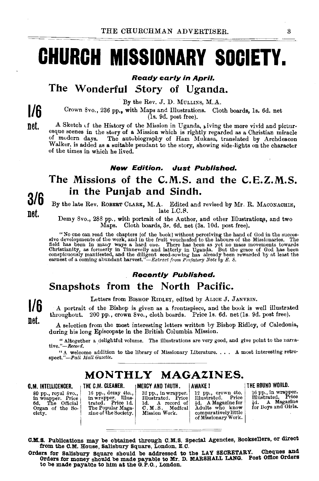# **CHURCH MISSIONARY SOCIETY.**

Ready early in April.

The Wonderful Story of Uganda.

By the Rev. J. D. MULLINS, M.A.

Crown 8vo., 236 pp., with Maps and Illustrations. Cloth boards, Is, 6d. net  $(1s. 9d.$  post free).

A Sketch of the History of the Mission in Uganda, giving the more vivid and picturesque scenes in the story of a Mission which is rightly regarded as a Christian miracle<br>of modern days. The autobiography of Ham Mukasa, translated by Archdeacon The autobiography of Ham Mukasa, translated by Archdeacon Walker, is added as a suitable pendant to the story, showing side-lights on the character of the times in which he lived.

### New Edition. Just Published.

## The Missions of the C.M.S. and the C.E.Z.M.S. in the Punjab and Sindh.

By the late Rev. ROBERT CLARK, M.A. Edited and revised by Mr. R. MACONAOHIE, late I.C.S.

Demy 8vo., 288 pp., with portrait of the Author, and other Illustrations, and two Maps. Cloth boards, 3•. 6d. net (3s. IOd. post free).

"No one can read the chapters [of the book] without perceiving the hand of God in the successive developments of the work, and in the fruit vouchasted to the labours of the Missionaries. The field has been in many ways a h Christianity, as formerly in Tinnevelly and latterly in Uganda. But the grace of God has been<br>conspicuously manifested, and the diligent seed-sowing has already been rewarded by at least the<br>earnest of a coming abundant h

### Recently Published.

## Snapshots from the North Pacific.

Letters from BISHOP RIDLEY, edited by ALICE J. JANVRIN.

A portrait of the Bishop is given as a frontispiece, and the book is well illustrated throughout. 200 pp., crown 8vo., cloth boards. Price Is. 6d. net (ls. 9d. post free).

A selection from the most interesting letters written by Bishop Ridley, of Caledonia, during his long Episcopate in the British Columbia Mission.

" Altogether a delightful volume. The illustrations are very good, and give point to the narra-<br>tive."- $\text{Reord}$ .

 $``$  A welcome addition to the library of Missionary Literature. . . . A most interesting retro-spect.  $''-Paul\;Mall\;Gazette.$ 

## MONTHLY MAGAZINES.

80 pp., royal Svo., in wrapper. Price 6d, The Official Organ of the So-<br>ciety.

C,M. INTELLICENCER. THE C.M. CLEANER. INERCY AND TRUTH. | AWAKE! ITHE ROUND WORLD. 16 pp., demy 4to., in wrapper. Illus-<br>trated. Price 1d.<br>The Popular Maga-<br>zine of the Society.

32 pp., in wrapper. Illustrated. Price 1d. A record of C. M.S. Medical Mission Work.

12 pp., crown 4to.<br>Illustrated. Price  $\frac{1}{2}d$ . A Magazine for Adults who know<br>comparatively little of Missionary Work.

16 pp., in wrapper.<br>Illustrated. Price<br>  $\frac{1}{2}d$ . A Magazine<br>
for Boys and Girls.

C.M.S. Publlcations may be obtained through C.M.S. Special Agencies, Booksellers, or direct from the C.M. House, Salisbury Square, London, E. C.

Orders for Salisbury Square should be addressed to the LAY SECRETARY. Cheques and Orders for money should be made payable to Mr. D. MARSHALL LANG. Post Office Orders to be made payable to him at the G. P.O., London.

3/6 net.

1/6 net.

1/6 net.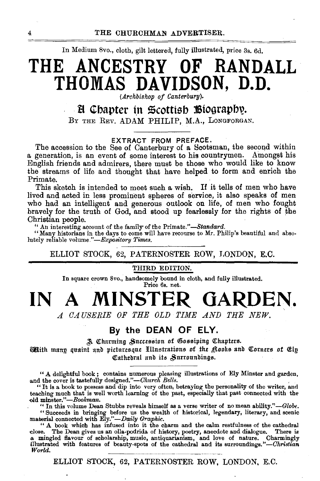In Medium 8vo., cloth, gilt lettered, fully illustrated, price 3s. 6d.

# THE ANCESTRY OF **RANDALL** THOMAS DAVIDSON, D.D.

(Archbishop of Canterbury).

## H Chapter in Scottish Biography.

BY THE REV. ADAM PHILIP, M.A., LONGFORGAN.

### EXTRACT FROM PREFACE.

The accession to the See of Canterbury of a Scotsman, the second within a generation, is an event of some interest to his countrymen. Amongst his English friends and admirers, there must be those who would like to know the streams of life and thought that have helped to form and enrich the Primate.

This sketch is intended to meet such a wish. If it tells of men who have lived and acted in less prominent spheres of service, it also speaks of men who had an intelligent and generous outlook on life, of men who fought bravely for the truth of God, and stood up fearlessly for the rights of the Christian people.

" An interesting account of the family of the Primate."-Standard.

"Many historians in the days to come will have recourse to Mr. Philip's beautiful and absolutely reliable volume."-Expository Times.

### ELLIOT STOCK, 62, PATERNOSTER ROW, LONDON, E.C.

### THIRD EDITION.

In square crown 8vo., handsomely bound in cloth, and fully illustrated. Price 6s. net.

A MINSTER GARDEN. IN

A CAUSERIE OF THE OLD TIME AND THE NEW.

### By the DEAN OF ELY.

A Charming Succession of Gossiping Chapters.

**Mith many quaint and picturesque Hllustrations of the Rooks and Corners of Elp** Cathedral and its Surroundings.

"A delightful book; contains numerous pleasing illustrations of Ely Minster and garden, and the cover is tastefully designed."-Church Bells.

"It is a book to possess and dip into very often, betraying the personality of the writer, and teaching much that is well worth learning of the past, especially that past connected with the old minster."-Bookman.

" In this volume Dean Stubbs reveals himself as a verse writer of no mean ability."-Globe.

"Succeeds in bringing before us the wealth of historical, legendary, literary, and scenic material connected with Ely."—Daily Graphic.

"A book which has infused into it the charm and the calm restfulness of the cathedral close. The Dean gives us an olla-podrida of history, poetry, anecdote and dialogue. There is a mingled flavour of scholarship, music, antiquarianism, and love of nature. Charmingly<br>illustrated with features of beauty-spots of the cathedral and its surroundings."-Christian World.

ELLIOT STOCK, 62, PATERNOSTER ROW, LONDON, E.C.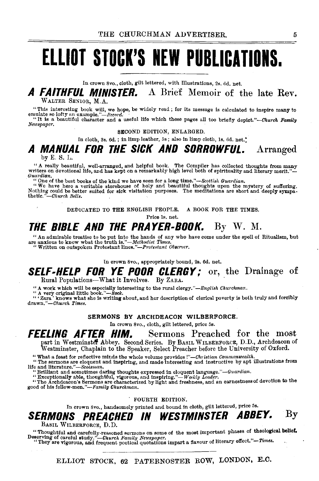# **ELLIOT STOCK'S NEW PUBLICATIONS.**

In crown Svo., cloth, gilt lettered, with Illustrations, 2s. 6d. net.

**A FAITHFUL MINISTER.** A Brief Memoir of the late Rev. WALTER SENIOR, M.A.

"This interesting book will, we hope, be widely read; for its message is calculated to inspire many to enulate so lofty an example."— $f$ fecourd."

*Newspaper.* 

SECOND EDITION, ENLARGED.

In cloth, 3s.  $6d.$ ; in limp leather, 5s; also in limp cloth, 1s.  $6d.$  net.<sup>\*</sup>

### **A MANUAL FOR THE SICK AND SORROWFUL.**  by E. S. L. Arranged

"A really beautiful, well-arranged, and helpful book. The Compiler has collected thoughts from many writers on devotional life, and has kept on a remarkably high level both of spirituality and literary merit."-- "One of t

" One of the best books of the kind we have seen for a long time."-*-Scottish Guardian*.<br>"We have here a veritable storehouse of holy and beautiful thoughts upon the mystery of suffering. Nothing could be better suited for sick visitation purposes. The meditations are short and deeply sympa-thetic." -Church Bells.

DEDICATED TO THE ENGLISH PEOPLE. A BOOK FOR THE TIMES.

Price Is. net.

**THE BIBLE AND THE PRAYER-BOOK.** By W. M.<br>"An adminishe troatise to be put into the hands of any who have come under the spell of Ritualism, but are anxious to know what the truth is."—*Methodist Times.*<br>""Written on outs

In crown Svo., appropriately bound, 2s. 6d. net.

### **SELF-HELP FOR YE POOR CLERGY;** or, the Drainage of Rural Populations-What it Involves. By ZARA.

"A work which will be especially interesting to the rural clergy."—English Churchman.<br>"A very original little book."—Rock.<br>"'Zara' knows what she is writing about, and her description of clerical poverty is both truly and *drawn.''-Church Times.* 

### SERMONS BY ARCHDEACON WILBERFORCE.

In crown Svo., cloth, gilt lettered, price 5s.

**FEELING AFTER HIM.** Sermons Preached for the most part in Westminster Abbey. Second Series. By Basıl WILBERFORCE, D.D., Archdeacon of<br>Westminster, Chaplain to the Speaker, Select Preacher before the University of Oxford.

"What a feast for reflective minds the whole volume provides!"—*Christian Commonwealth*.<br>"The sermons are eloquent and inspiring, and made interesting and instructive by apt illustrations from<br>life and literature."—*Scots* 

"Exceptionally able, thoughtful, vigorous, and inspiring."-Weekly Leader.<br>
"The Archdeacon's Sermons are characterized by light and freshness, and an earnestness of devotion to the good of his fellow-men. *"-Family Churchman.* 

. FOURTH EDITION.

In crown Svo., handsomely printed and bound in cloth, gilt lettered, price 5s.

## **SERMONS PREACHED IN WESTMINSTER ABBEY.** By

BASIL WILBERFORCE, D.D.

"Thoughtful and carefully-reasoned sermons on some of the most important phases of theological belief.<br>Deserving of careful study."—Charch Family Neergaper.<br>"They are vigorous, and frequent poetical quotations impart a fla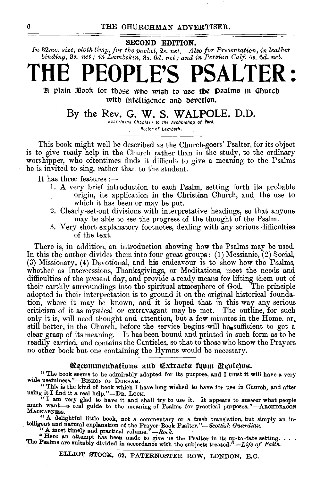SECOND EDITION.

*In* 32mo. size, cloth limp, for the pocket, 2s. net. Also for Presentation, in leather *binding,* 3s. *net; in Lambskin,* 3s. *6d. net,· and in Persian Calf,* 4s. *6d. net.* 

# THE PEOPLE'S PSALTER:

H plain 3600k for those who wish to use the psalms in Church with intelligence and devotion.

### By the Rev. G. W. S. WALPOLE, D.D.

Examining Chaplain to the Archbishop of **York**, Rector of Lambeth.

This book might well be described as the Church-goers' Psalter, for its object is to give ready help in the Church rather than in the study, to the ordinary worshipper, who oftentimes finds it difficult to give a meaning to the Psalms he is invited to sing, rather than to the student.

It has three features :-

- 1. A very brief introduction to each Psalm, setting forth its probable origin, its application in the Christian Church, and the use to which it has been or may be put.
- 2. Clearly-set-out divisions with interpretative headings, so that anyone may be able to see the progress of the thought of the Psalm.
- 3. Very short explanatory footnotes, dealing with any serious difficulties of the text.

There is, in addition, an introduction showing how the Psalms may be used. In this the author divides them into four great groups: (1) Messianic, (2) Social, (3) Missionary, (4) Devotional, and his endeavour is to show how the Psalms, whether as Intercessions, Thanksgivings, or Meditations, meet the needs and difficulties of the present day, and provide a ready means for lifting them out of their earthly surroundings into the spiritual atmosphere of God. The principle adopted in their interpretation is to ground it on the original historical foundation, where it may be known, and it is hoped that in this way any serious criticism of it as mystical or extravagant may be met. The outline, for such only it is, will need thought and attention, but a few minutes in the Home, or, still better, in the Church, before the service begins will be sufficient to get a clear grasp of its meaning. It has been bound and printed in such form as to be readily carried, and contains the Canticles, so that to those who know the Prayers no other book but one containing the Hymns would be necessary.

### Recommendations and Extracts fuom Reviews.

"The book seems to be admirably adapted for its purpose, and I trust it will have a very wide usefulness."-BISHOP OF DURHAM.

"This is the kind of book which I have long wished to have for use in Church, and after using it I find it a real help."-DR. LOCK.

"I am very glad to have it and shall try to use it. It appears to answer what people much want-a real guide to the meaning of Psalms for practical purposes."-ARCHDEACON MAOKARNESS.

. " A delightful little book, not a commentary or a fresh translation, but simply an intelligent and natural explanation of the Prayer-Book *Psalter."-Scottish Guardian.* 

 $A$  most timely and practical volume." $-$ Rock.

"Here an attempt has been made to give us the Psalter in its up-to-date setting... The Psalms are suitably divided in accordance with the subjects treated.<sup>"</sup>-Life of Faith.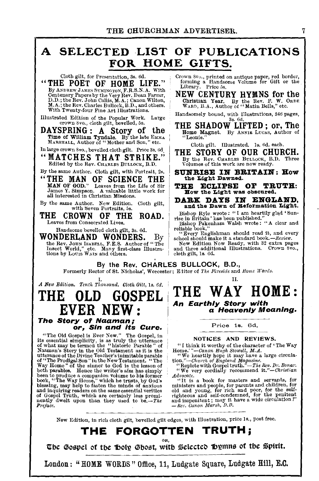# A SELECTED -LIST OF PUBLICATIONS FOR HOME GIFTS.

"THE POET OF HOME LIFE." forming a Handsome Volume for Gibs of Girls of Girls of Albert Conditional Strategy of the Library. Price 5s. By ANDREW JAMES SINCENTURY HYMNS for the Centenary Papers by the Very Rev. Dean Farrar, NEW CENTURY HYMNS for the D.D.; the Rev. John Callis, M.A.; Canon Wilton, Christian Year. By the Rev. F. W. ORDE M.A.; the Rev. Charle D.D.; the Rev. John Callis, M.A.; Canon Wilton, Christian Year. By the Rev. F. W. ORDE<br>M.A.; the Rev. Charles Bullock, B.D., and others. WARD, B.A., Author of "Matin Bells," etc.<br>With Twenty-four Fine Art Hustrations. Hand

Illustrated Edition of the Popular Work. Large Handsomely bound, with 1 38. 6d.

Time of William Tyndale. By the late EMMA : "Leonie." MARSHALL, Author of "Mother and Son," etc. Cloth gilt. Illustrated. Is. 6d. each.

MARSHALL, Author of "Mother and Son," etc.<br>
In large crown 8vo., bevelled cloth gilt. Price 3s.6d.<br>
(Allen Brown Svo., bevelled cloth gilt. Price 3s.6d.)<br>
THE STORY OF OUR CHURCH. "MATCHES THAT STRIKE." By the Rev. CHARLES BULLOCK, B.D. VOLUMES BULLOCK, B.D. VOLUMES BULLOCK, B.D.

"THE MAN OF SCIENCE THE the Light Dawned.<br>MAN OF GOD." Leaves from the Life of Sir THE ECLIPSE OF TRUTH: MAN OF GOD." Leaves from the Life of Sir THE ECLIPSE OF TRUTH: James Y. Simpson. A valuable little work for  $\parallel$   $\blacksquare$  fow the Light was obscured, all interested in Christian Missions

THE CROWN OF THE ROAD. Leaves from Consecrated Lives.

Handsome bevelled cloth gilt, 3s. 6d.<br>WONDERLAND WONDERS. WONDERLAND WONDERS. By the Rev. John ISABELL, F.E.S. Author of "The Insect World," etc. Many first-class Illustra-<br>tions by Louis Walny and others.

Cloth gilt, for Presentation, 3s. 6d. 1 Crown Svo., printed on antique paper, red border,  $E$  POET OF HOME LIFE." There is that the contract of the contract of the contract of the contract of the contract of the contract

crown *Svo., cloth gilt, bevelled, 5s.* THE SHADOW LIFTED; or, The SPRING: Author of DAYSPRING: A Story of the  $\frac{1}{10000}$  Magnet. By ANNIE LUCAS, Author of Time of William Tyndale. By the late  $\frac{1}{100000}$  (Leonie."

By the same Author. Cloth gilt, with Portrait, 2s.  $\parallel$  SUNRISE IN BRITAIN: How "THE MAN OF SCIENCE THE  $\parallel$  the Light Dawned.

all interested in Christian Missions.<br>By the same Author. New Edition. Cloth gilt, **DARK DAYS IN ENGLAND**, and the Dawn of **Reformation Light.** 

Bishop Ryle wrote: "I am heartily glad 'Sun-<br>rise in Britain' has been published."<br>Bishop Pakenham Walsh wrote: "A clear and

reliable book." Every Englishman should read it, and every school sbould make it a standard book.-Review.<br>New Edition Now Ready, with 32 extra pages<br>and three additional Illustrations. Crown Svo.,

cloth gilt, ls. 6d.

By the Rev. CHARLES BULLOCK, B.D.,

Formerly Rector of St. Nicholas', Worcester; E-litor of *The Fireside* and *Home Words*.

A New Edition. Tenth Thousand, Cloth Gilt, 1s. 6d.

# The Story of Naaman;

"The Old Gospel is Ever New." The Gospel, in<br>its essential simplicity, is as truly the utterance<br>of what may be termed the "historic Parable" of<br>Naman's Story in the Old Testament as it is the<br>utterance of the Divine Teac of Gospel Truth, which are certainly less prominently dwelt upon than they used to be.-The Preface.

*GOSPEL* THE WAY HOME: An Earthly Story with <mark>.</mark><br>a Heavenly Meaning.

Price 1s. 6d.

### NOTICES AND REVIEWS.

" I think it worthy of the character of ' The Way Home.' *"-Canon Hugh Stowell, M.A.* "We heartily hope it may have a large circula- tion.''-Chw·ch *of England Magazine.* 

we used with Gospel truth."-The *Rev. Dr. Bonar.* "Replete with Gospel truth."-The *Rev. Dr. Bonar.* "We very cordially recommend *it."-Christian* 

*Advocate.* **6**<br> **11.** is a book for masters and servants, for <sup>111</sup>UL is a book for masters and servants, for<br>ministers and people, for parents and children, for<br>old and young, for rich and poor, for the self-<br>righteous and self-condemned, for the penitent<br>and impenitent; may it hav

New Edition, in rich cloth gilt, bevelled gilt edges, with Illustration, price ls., post free.

# THE FORGOTTEN TRUTH;

The Gospel of the Holy Ghost, with Selected Bymns of the Spirit.

London: "HOME WORDS" Office, 11, Ludgate Square, Ludgate Hill, E.C.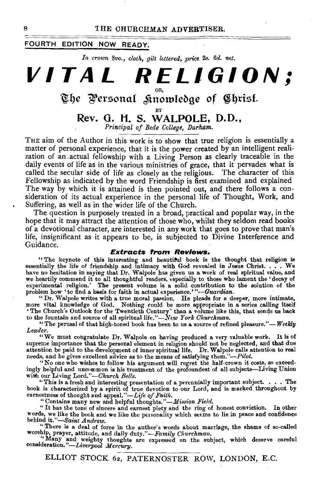### FOURTH EDITION NOW READY.

In crown 8vo., *cloth, gilt lettered, price 2s. 6d. net.* 

**VITAL RELIGION;** 

# The Personal *S*unowledge of Christ.

BY Rev. G. **H. S. WALPOLE, D.D.,** 

*Prineipal of Bede College, Durham.* 

THE aim of the Author in this work is to show that true religion is essentially a matter of personal experience, that it is the power created by an intelligent realization of an .actual fellowship with a Living Person as clearly traceable in the daily events of life as in the various ministries of grace, that it pervades what is called the secular side of life as closely as the religious. The character of this Fellowship as indicated by the word Friendship is first examined and explained The way by which it is attained is then pointed out, and there follows a consideration of its actual experience in the personal life of Thought, Work, and Suffering, as well as in the wider life of the Church.

The question is purposely treated in a broad, practical and popular way, in the hope that it may attract the attention of those who, whilst they seldom read books of a devotional character, are interested in any work that goes to prove that man's life, insignificant as it appears to be, is subjected to Divine Interference and Guidance.

### **Extracts from Reviews.**

"The keynote of this interesting and beautiful book is the thought that religion is essentially the life of friendship and intimacy with God revealed in Jesus Christ. . . . We have no hesitation in saying that Dr. Walpole has given us a work of real spiritual value, and<br>we heartily commend it to all thoughtful readers, especially to those who lament the 'decay of<br>experimental religion.' The pre

"The perusal of that high-toned book has been to us a source of refined pleasure."-Weekly *Leader.* 

"We must congratulate Dr. Walpole on having produced a very valuable work. It is of supreme importance that the personal element in religion should not be neglected, and that due attention be paid to the development of inner spiritual life. Dr. Walpole calls attention to real needs, and he gives excellent advice as to the means of satisfying *them."-Pilot.* 

"No one who wishes to follow his argument will regret the half-crown it costs, so exceedingly helpful and uncommon is his treatment of the profoundest of all subjects-Living Union with our Living Lord."-Church Bells.

"This is a fresh and interesting presentation of a perennially important subject. . . . The book is characterized by a spirit of true devotion to our Lord, and is marked throughout by earnestness of thought and appeal."-Life of Faith. <br>
"Contains many new and helpful thoughts."-Mission Field.

"It has the tone of sincere and earnest piety and the ring of honest conviction. In other words, we like the book and we like the personality which seems to lie in peace and confidence behind it."-Saint Andrew.

"There is a deal of force in the author's words about marriage, the shams of so-called worship, prayer, attitude, and daily duty."-Family Churchman.

worship, prayer, attitude, and daily duty."-*Family Churchman.*<br>
"Many and weighty thoughts are expressed on the subject, which deserve careful<br>
consideration."-*Liverpool Mercury*.

ELLIOT STOCK 62, PATERNOSTER ROW, LONDON, E.C.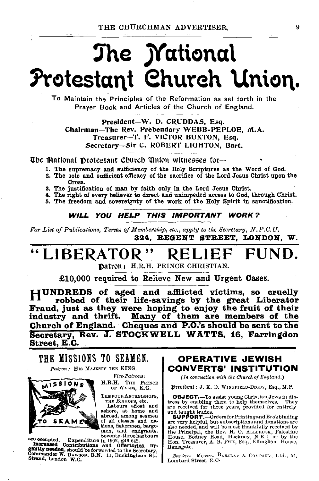# The *Mational* Protestant Church Union.

To Maintain the Principles of the Reformation as set torth in the Prayer Book and Articles of the Church of England.

President-W. D. CRUDDAS, Esq. Chairman-The Rev. Prebendary WEBB-PEPLOE, M.A. Treasurer-T. F. VICTOR BUXTON, Esq. Secretary-Sir C. ROBERT LIGHTON, Bart.

The Mational Drotestant Church Union witnesses for-

- 1. The supremacy and sufficiency of the Holy Scriptures as the Word of God.
- 2. The sole and sufficient efficacy of the sacrifice of the Lord Jesus Christ upon the Cross.
- 3. The justification of man by faith only in the Lord Jesus Christ.
- 4. The right of every believer to direct and unimpeded access to God, through Christ.
- 5. The freedom and sovereignty of the work of the Holy Spirit in sanctification.

### WILL YOU HELP THIS IMPORTANT WORK?

For List of Publications, Terms of Membership, etc., apply to the Secretary, N.P.C.U. 324. REGENT STREET. LONDON. W.

### "LIBERATOR" FUND. RELII

Datron: H.R.H. PRINCE CHRISTIAN.

£10,000 required to Relieve New and Urgent Cases.

HUNDREDS of aged and afflicted victims, so cruelly robbed of their life-savings by the great Liberator Fraud, just as they were hoping to enjoy the fruit of their industry and thrift. Many of them are members of the Church of England. Cheques and P.O.'s should be sent to the Secretary, Rev. J. STOCKWELL WATTS, 16, Farringdon Street, E.C.

THE MISSIONS TO SEAMEN. Patron: HIS MAJESTY THE KING.



**Fice-Patrons:** 

H.R.H. THE PRINCE OF WALES, K.G.

THE FOUR ARCHBISHOPS,

The FOUR ARCHEDISHOPS,<br>THE BISHOPS, etc.<br>Labours afloat and<br>ashore, at home and<br>abroad, among seamen<br>of all classes and nations, fishermen, bargemen, and emigrants. Seventy-three harbours

are occupied. Expenditure in 1902, £46,642. are occupied. Expenditure in 1302, ENCOMENTIES and Offerforders, urgently needed, should be forwarded to the Secretary, Commander W. Dawson, R.N. 11, Buckingham St., Strand, London W.C.

**OPERATIVE JEWISH CONVERTS' INSTITUTION** 

(In connection with the Church of England.)

President: J. K. D. WINGFIELD-DIGBY, Esq., M.P.

**OBJECT.** To assist young Christian Jews in distress by enabling them to help themselves. They are received for three years, provided for entirely

and taught trades.<br>
SupPORT,—OrdersforPrinting and Bookbinding<br>
are very helpful, but aubscriptions and donations are<br>
and taught trades.<br>
are very helpful, but aubscriptions and donations are<br>
also needed, and will be mos Ramsgate.

Bankers-Messrs. BARCLAY & COMPANY, Ltd., 54, Lombard Street, E.C.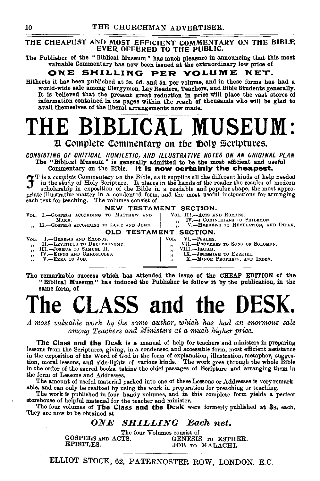### THE CHEAPEST AND MOST EFFICIENT COMMENTARY ON THE BIBLE EVER OFFERED TO THE PUBLIC.

The Publisher of the "Biblical Museum" has much pleasure in announcing that this most valuable Commentary has now been issued at the extraordinary low price of

### ONE SHILLING PER VOLUME NET.

Hitherto it has been published at 3s. 6d. and 5s. per volume, and in these forms has had a world-wide sale among Clergymen, Lay Readers, Teachers, and Bible Students generally. It is believed that the present great reduction in price will place the vast stores of information contained in its pages within the reach of thousands who will be glad to avail themselves of the liberal arrangements now made.

# LE BIBLICAL MUSEUM:

**H** Complete Commentary on the **foolly** Scriptures.

*CONSISTING OF CRITICAL, HOMILETIC, AND ILLUSTRATIVE NOTES ON AN ORIGINAL PLAN*  The "Biblical Museum " is generally admitted to be the most efficient and useful Commentary on the Bible. It is now certainly the cheapest.

T is a *complete* Commentary on the Bible, as it supplies all the different kinds of help needed in the study of Holy Scripture. It places in the hands of the reader the results of modern scholarship in exposition of the Bible in a readable and popular shape, the most appro-<br>priate illustrative matter in a condensed form, and the most useful instructions for arranging priate illustrative matter in a condensed form, and the most useful instructions for arranging each text for teaching. The volumes consist of

### NEW TESTAMENT SECTION.

VOL. I.-GOSPELS ACCORDING TO MATTHEW AND VOL. III.-ACTS AND ROMANS.<br>MARK. 1. IV.--I CORINTHIANS TO MARK. MONDER ACCORDING TO LUKE AND JOHN. J. IV.-I CORINTHIANS TO PHILEMON.<br>
, H.-GOSPELS ACCORDING TO LUKE AND JOHN. J. V.-HEBREWS TO REVELATION, AND INDEX. OLD TESTAMENT SECTION. VOL. I.-GENESIS AND EXODUS.<br>
,, II.-LEVITICUS TO DEUTERONOMY. VOL. VI.-PSALMS. I II.-PROVERBS TO SONG OF SOLOMON.<br>
TIII.-ISAIAH.<br>
IX.-JERRMIAH TO EZERIEL.<br>
WELLERMIAB PROPHETS, AND INDEX. "
III.-Joshua To Samuel II.<br>"
IV.-KINGS AND CHRONICLES. IX.-JEREMIAH TO EZEKIEL. V.-EzRA TO JoB. X.-MINOR PROPHETS, AND INDEX.  $\ddot{\phantom{a}}$ 

The remarkable success which has attended the issue of the CHEAP EDITION of the "Biblical Museum" has induced the Publisher to follow it by the publication, in the same form, of

# **he CLASS and the DES**

*A most valuable work by the same author, which has had an enormous sale among Teachers and lWinisters at a much higher price.* 

The Class and the Desk is a manual of help for teachers and ministers in preparing lessons from the Scriptures, giving, in a condensed and accessible form, most efficient assistance in the exposition of the Word of God in the form of explanation, illustration, metaphor, sugges-tion, moral lessons, and side-lights of various kinds. The work goes through the whole Bible in the order of the sacred books, taking the chief passages of Scripture and arranging them in the form of Lessons and Addresses.

The amount of useful material packed into one of these Lessons or Addresses is very remark able, and can only be realized by using the work in preparation for preaching or teaching.

The work is published in four handy volumes, and in this complete form yields a perfect storehouse of helpful material for the teacher and minister.

The four volumes of The Class and the Desk were formerly published at 3s. each. They are now to be obtained at

### *ONE SHILLING Each net.*

The four Volumes consist of<br>TS. 6ENESIS TO ESTHER. GOSPELS AND ACTS.<br>EPISTLES. JOB TO MALACHI.

ELLIOT STOCK, 62, PATERNOSTER ROW, LONDON. E.C.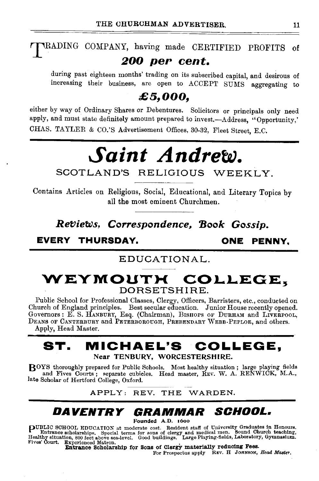# TRADING COMPANY, having made CERTIFIED PROFITS of *200 per cent.*

during past eighteen months' trading on its subscribed capital, and desirous of increasing their business, are open to ACCEPT SUMS aggregating to

## *£5,000,*

either by way of Ordinary Shares or Debentures. Solicitors or principals only need apply, and must state definitely amount prepared to invest.--Address, "Opportunity," CHAS. TAYLER & CO.'S Advertisement Offices, 30-32, Fleet Street, E.C.

# *Saint Andrew.*

SCOTLAND'S RELIGIOUS WEEKLY.

Contains Articles on Religious, Social, Educational, and Literary Topics by all the most eminent Churchmen.

*RetJieWs, Correspondence, 'Book Gossip.* 

EVERY THURSDAY. ONE PENNY.

### EDUCATIONAL.

## WEYMOUTH COLLEGE. DORSETSHIRE.

Public School for Professional Classes, Clergy, Officers, Barristers, etc., conducted on Church of England principles. Best secular education. Junior House recently opened. Governors : E. S. HANBURY, Esq. (Chairman), BISHOPS OF DuRHAM and LIVERPOOL, DEANS OF CANTERBURY and PETERBOROUGH, PREBENDARY WEBB-PEPLOE, and others. Apply, Head Master.

## ST. MICHAEL'S COLLEGE, Near TENBURY, WORCESTERSHIRE.

BOYS thoroughly prepared for Public Schools. Most healthy situation; large playing fields and Fives Courts; separate cubicles. Head master, REV. W. A. RENWICK, M.A., late Scholar of Hertford College, Oxford.

APPLY: REV. THE WARDEN.

# DAVENTRY GRAMMAR SOHOOL.

Founded A.D. 16oo

puBLIC SCHOOL EDUCATION at moderate cost. Resident staff of University Graduates In Honours. Entrance scholarships. Special terms for sons of clergy and medical men. Sound Church teac~ing, Healthy situation, 800 feet above sea-level. Good buildings. Large Playing-fields, Laboratory, Gymnasium.<br>Fives' Court. Experienced Matron.

Fives' Court. Experienced Matron.<br>**Entrance Scholarship for Sons of Clergy materially reducing Fees.**<br>For Prospectus apply REV. H JOHNSON, *Head Master.*